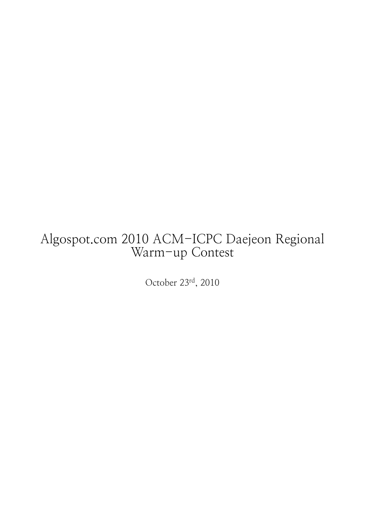# Algospot.com 2010 ACM-ICPC Daejeon Regional Warm-up Contest

October 23rd, 2010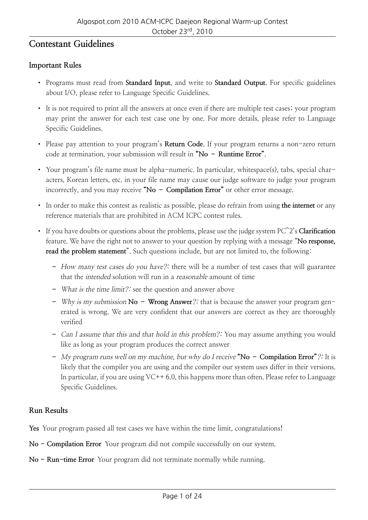#### **Contestant Guidelines**

#### **Important Rules**

- Programs must read from **Standard Input**, and write to **Standard Output**. For specific guidelines about I/O, please refer to Language Specific Guidelines.
- It is not required to print all the answers at once even if there are multiple test cases; your program may print the answer for each test case one by one. For more details, please refer to Language Specific Guidelines.
- Please pay attention to your program's **Return Code**. If your program returns a non-zero return code at termination, your submission will result in **"No – Runtime Error"**.
- Your program's file name must be alpha-numeric. In particular, whitespace(s), tabs, special characters, Korean letters, etc. in your file name may cause our judge software to judge your program incorrectly, and you may receive **"No – Compilation Error"** or other error message.
- In order to make this contest as realistic as possible, please do refrain from using **the internet** or any reference materials that are prohibited in ACM ICPC contest rules.
- If you have doubts or questions about the problems, please use the judge system PC^2's **Clarification** feature. We have the right not to answer to your question by replying with a message "**No response, read the problem statement**". Such questions include, but are not limited to, the following:
	- How many test cases do you have?: there will be a number of test cases that will guarantee that the intended solution will run in a reasonable amount of time
	- What is the time limit?: see the question and answer above
	- Why is my submission **No Wrong Answer**?: that is because the answer your program generated is wrong. We are very confident that our answers are correct as they are thoroughly verified
	- **–** Can I assume that this and that hold in this problem : You may assume anything you would like as long as your program produces the correct answer
	- **–** My program runs well on my machine, but why do I receive **"No Compilation Error"** : It is likely that the compiler you are using and the compiler our system uses differ in their versions. In particular, if you are using  $VC++ 6.0$ , this happens more than often. Please refer to Language Specific Guidelines.

#### **Run Results**

**Yes** Your program passed all test cases we have within the time limit, congratulations!

- **No Compilation Error** Your program did not compile successfully on our system.
- **No Run-time Error** Your program did not terminate normally while running.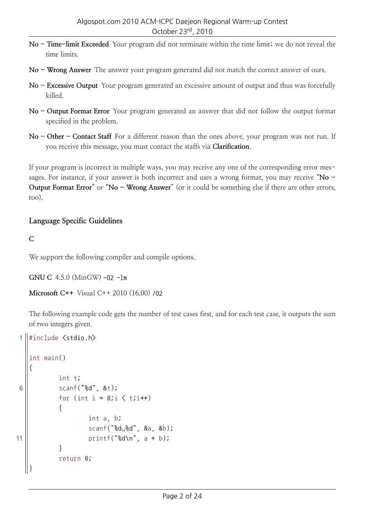- **No Time-limit Exceeded** Your program did not terminate within the time limit; we do not reveal the time limits.
- **No Wrong Answer** The answer your program generated did not match the correct answer of ours.
- **No Excessive Output** Your program generated an excessive amount of output and thus was forcefully killed.
- **No Output Format Error** Your program generated an answer that did not follow the output format specified in the problem.
- **No Other Contact Staff** For a different reason than the ones above, your program was not run. If you receive this message, you must contact the staffs via **Clarification**.

If your program is incorrect in multiple ways, you may receive any one of the corresponding error messages. For instance, if your answer is both incorrect and uses a wrong format, you may receive "**No - Output Format Error**" or "No - Wrong Answer" (or it could be something else if there are other errors, too).

#### **Language Specific Guidelines**

#### **C**

We support the following compiler and compile options.

```
GNU C 4.5.0 (MinGW) -O2 -lm
```

```
Microsoft C++ Visual C++ 2010 (16.00) /O2
```
The following example code gets the number of test cases first, and for each test case, it outputs the sum of two integers given.

```
\parallel#include \langlestdio.h\rangle
```

```
int main()
   {
           int t;
6 \| scanf("8d", 8t);for (int i = 0; \zeta t; i++)
           {
                   int a, b;
                   scanf("%d␣%d", &a, &b);
11 || \text{print}("ad\,n", a + b);}
           return 0;
   }
```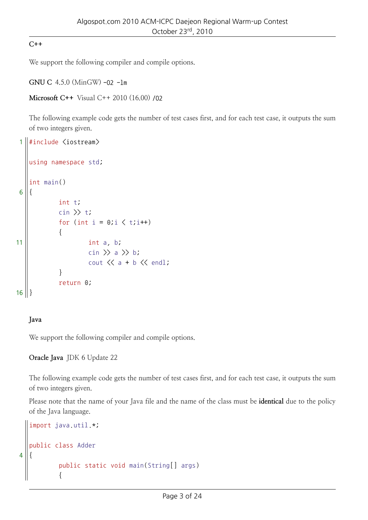#### **C++**

We support the following compiler and compile options.

```
GNU C 4.5.0 (MinGW) -O2 -lm
```

```
Microsoft C++ Visual C++ 2010 (16.00) /O2
```
The following example code gets the number of test cases first, and for each test case, it outputs the sum of two integers given.

```
1 \#include \langleiostream\rangleusing namespace std;
    int main()
 6 {
               int t;
               \sin \gt{t};
               for (int i = 0; i \leq t; i++)
                {
11 int a, b;
                          cin \rangle a \rangle b;
                          cout \langle\langle a + b \rangle \langle \langle end \rangle}
               return 0;
16 ||
```
#### **Java**

4 {

We support the following compiler and compile options.

**Oracle Java** JDK 6 Update 22

The following example code gets the number of test cases first, and for each test case, it outputs the sum of two integers given.

Please note that the name of your Java file and the name of the class must be **identical** due to the policy of the Java language.

```
import java.util.*;
public class Adder
        public static void main(String[] args)
        {
```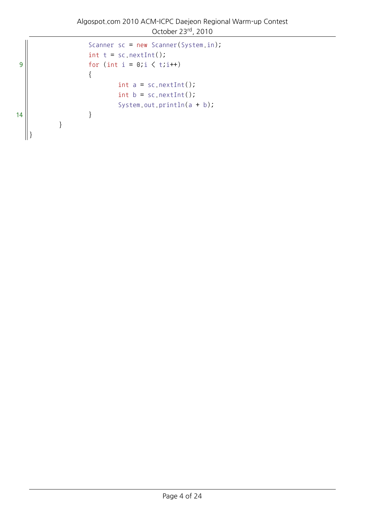```
Scanner sc = new Scanner(System.in);
                    int t = sc.nextInt();
9 | \left| \right| for (int i = 0;i \langle t;i++)
                    {
                            int a = sc.nextInt();
                            int b = sc.nextInt();
                            System.out.println(a + b);
14 || \qquad \qquad \}}
   }
```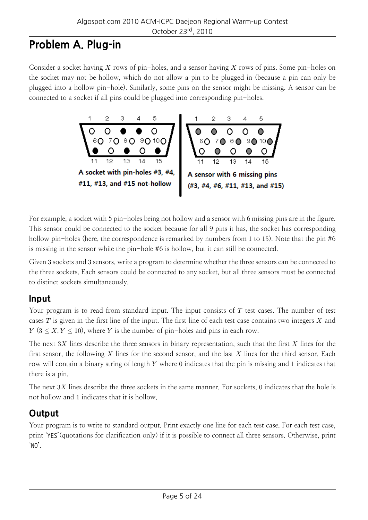# **Problem A. Plug-in**

Consider a socket having *X* rows of pin-holes, and a sensor having *X* rows of pins. Some pin-holes on the socket may not be hollow, which do not allow a pin to be plugged in (because a pin can only be plugged into a hollow pin-hole). Similarly, some pins on the sensor might be missing. A sensor can be connected to a socket if all pins could be plugged into corresponding pin-holes.



For example, a socket with 5 pin-holes being not hollow and a sensor with 6 missing pins are in the figure. This sensor could be connected to the socket because for all 9 pins it has, the socket has corresponding hollow pin-holes (here, the correspondence is remarked by numbers from 1 to 15). Note that the pin #6 is missing in the sensor while the pin-hole #6 is hollow, but it can still be connected.

Given 3 sockets and 3 sensors, write a program to determine whether the three sensors can be connected to the three sockets. Each sensors could be connected to any socket, but all three sensors must be connected to distinct sockets simultaneously.

#### **Input**

Your program is to read from standard input. The input consists of *T* test cases. The number of test cases *T* is given in the first line of the input. The first line of each test case contains two integers *X* and *Y* ( $3 \leq X, Y \leq 10$ ), where *Y* is the number of pin-holes and pins in each row.

The next 3*X* lines describe the three sensors in binary representation, such that the first *X* lines for the first sensor, the following *X* lines for the second sensor, and the last *X* lines for the third sensor. Each row will contain a binary string of length *Y* where 0 indicates that the pin is missing and 1 indicates that there is a pin.

The next 3*X* lines describe the three sockets in the same manner. For sockets, 0 indicates that the hole is not hollow and 1 indicates that it is hollow.

### **Output**

Your program is to write to standard output. Print exactly one line for each test case. For each test case, print 'YES'(quotations for clarification only) if it is possible to connect all three sensors. Otherwise, print 'NO'.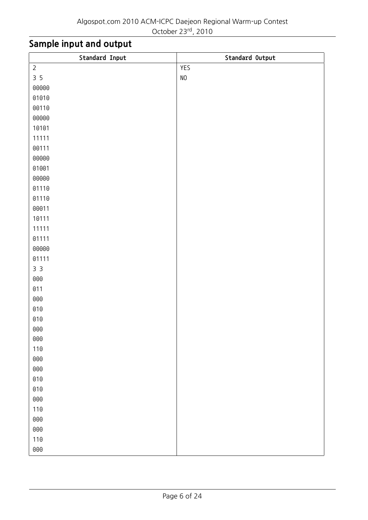| Standard Input | Standard Output |
|----------------|-----------------|
| $\overline{2}$ | YES             |
| 35             | $\rm NO$        |
| 00000          |                 |
| 01010          |                 |
| 00110          |                 |
| 00000          |                 |
| 10101          |                 |
| 11111          |                 |
| 00111          |                 |
| 00000          |                 |
| 01001          |                 |
| 00000          |                 |
| 01110          |                 |
| 01110          |                 |
| 00011          |                 |
| 10111          |                 |
| 11111          |                 |
| 01111          |                 |
| 00000          |                 |
| 01111          |                 |
| 3 <sup>3</sup> |                 |
| 000            |                 |
| 011            |                 |
| 000            |                 |
| 010            |                 |
| $010\,$        |                 |
| 000            |                 |
| ${\bf 000}$    |                 |
| 110            |                 |
| ${\bf 000}$    |                 |
| ${\bf 000}$    |                 |
| 010            |                 |
| $010\,$        |                 |
| ${\bf 000}$    |                 |
| 110            |                 |
| ${\bf 000}$    |                 |
| ${\bf 000}$    |                 |
| 110            |                 |
| ${\bf 000}$    |                 |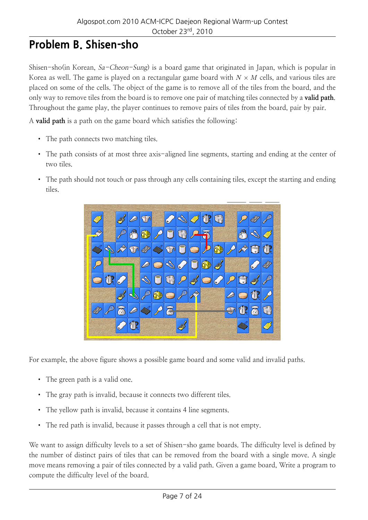# **Problem B. Shisen-sho**

Shisen-sho(in Korean, Sa-Cheon-Sung) is a board game that originated in Japan, which is popular in Korea as well. The game is played on a rectangular game board with  $N \times M$  cells, and various tiles are placed on some of the cells. The object of the game is to remove all of the tiles from the board, and the only way to remove tiles from the board is to remove one pair of matching tiles connected by a **valid path**. Throughout the game play, the player continues to remove pairs of tiles from the board, pair by pair.

A **valid path** is a path on the game board which satisfies the following:

- The path connects two matching tiles.
- The path consists of at most three axis-aligned line segments, starting and ending at the center of two tiles.
- The path should not touch or pass through any cells containing tiles, except the starting and ending tiles.



For example, the above figure shows a possible game board and some valid and invalid paths.

- The green path is a valid one.
- The gray path is invalid, because it connects two different tiles.
- The yellow path is invalid, because it contains 4 line segments.
- The red path is invalid, because it passes through a cell that is not empty.

We want to assign difficulty levels to a set of Shisen-sho game boards. The difficulty level is defined by the number of distinct pairs of tiles that can be removed from the board with a single move. A single move means removing a pair of tiles connected by a valid path. Given a game board, Write a program to compute the difficulty level of the board.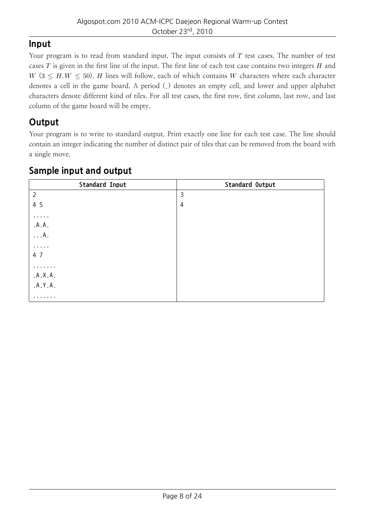#### **Input**

Your program is to read from standard input. The input consists of *T* test cases. The number of test cases *T* is given in the first line of the input. The first line of each test case contains two integers *H* and *W* ( $3 \leq H, W \leq 50$ ). *H* lines will follow, each of which contains *W* characters where each character denotes a cell in the game board. A period (.) denotes an empty cell, and lower and upper alphabet characters denote different kind of tiles. For all test cases, the first row, first column, last row, and last column of the game board will be empty.

### **Output**

Your program is to write to standard output. Print exactly one line for each test case. The line should contain an integer indicating the number of distinct pair of tiles that can be removed from the board with a single move.

| Standard Input | Standard Output |
|----------------|-----------------|
| $\overline{2}$ | 3               |
| 4 5            | $\overline{4}$  |
| $\cdots$       |                 |
| .A.A.          |                 |
| $\ldots$ A.    |                 |
| $\cdots$       |                 |
| 4 7            |                 |
| .              |                 |
| .A.X.A.        |                 |
| .A.Y.A.        |                 |
| .              |                 |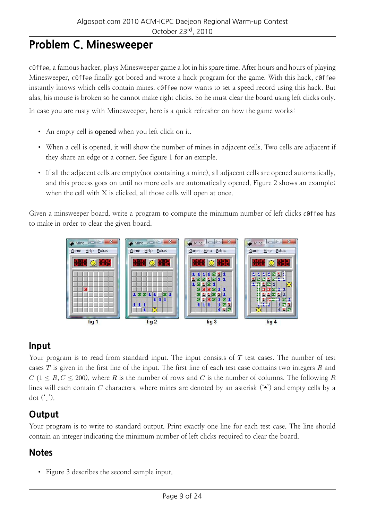# **Problem C. Minesweeper**

c0ffee, a famous hacker, plays Minesweeper game a lot in his spare time. After hours and hours of playing Minesweeper, c0ffee finally got bored and wrote a hack program for the game. With this hack, c0ffee instantly knows which cells contain mines. c0ffee now wants to set a speed record using this hack. But alas, his mouse is broken so he cannot make right clicks. So he must clear the board using left clicks only.

In case you are rusty with Minesweeper, here is a quick refresher on how the game works:

- An empty cell is **opened** when you left click on it.
- When a cell is opened, it will show the number of mines in adjacent cells. Two cells are adjacent if they share an edge or a corner. See figure 1 for an exmple.
- If all the adjacent cells are empty(not containing a mine), all adjacent cells are opened automatically, and this process goes on until no more cells are automatically opened. Figure 2 shows an example; when the cell with X is clicked, all those cells will open at once.

Given a minsweeper board, write a program to compute the minimum number of left clicks c0ffee has to make in order to clear the given board.



### **Input**

Your program is to read from standard input. The input consists of *T* test cases. The number of test cases *T* is given in the first line of the input. The first line of each test case contains two integers *R* and  $C$  (1  $\le R$ ,  $C$   $\le$  200), where *R* is the number of rows and *C* is the number of columns. The following *R* lines will each contain *C* characters, where mines are denoted by an asterisk (\*) and empty cells by a dot  $(')$ .

### **Output**

Your program is to write to standard output. Print exactly one line for each test case. The line should contain an integer indicating the minimum number of left clicks required to clear the board.

### **Notes**

• Figure 3 describes the second sample input.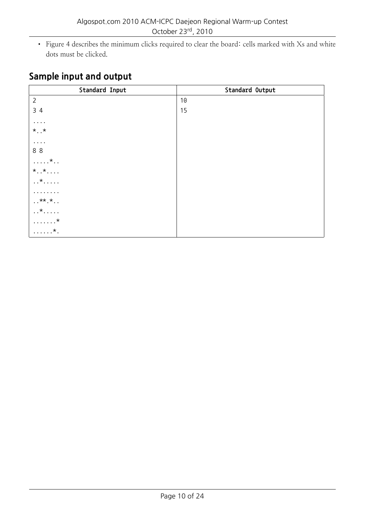• Figure 4 describes the minimum clicks required to clear the board: cells marked with Xs and white dots must be clicked.

| Standard Input            | Standard Output |
|---------------------------|-----------------|
| $\overline{2}$            | 10              |
| 34                        | 15              |
| $\cdots$                  |                 |
| $*$ *                     |                 |
| $\cdots$                  |                 |
| 88                        |                 |
| $\ldots$ . $\star$        |                 |
| $\star$ $\star$           |                 |
| $\dots * \dots$           |                 |
| .                         |                 |
| $**.*$                    |                 |
| $\dots * \dots$           |                 |
| $\ldots \ldots \star$     |                 |
| $\ldots \ldots$ $\star$ . |                 |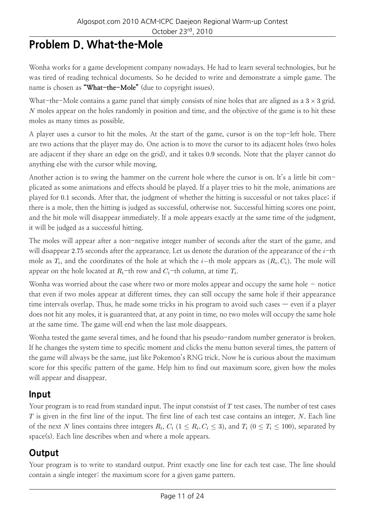# **Problem D. What-the-Mole**

Wonha works for a game development company nowadays. He had to learn several technologies, but he was tired of reading technical documents. So he decided to write and demonstrate a simple game. The name is chosen as **"What-the-Mole"** (due to copyright issues).

What-the-Mole contains a game panel that simply consists of nine holes that are aligned as a 3 *×* 3 grid. *N* moles appear on the holes randomly in position and time, and the objective of the game is to hit these moles as many times as possible.

A player uses a cursor to hit the moles. At the start of the game, cursor is on the top-left hole. There are two actions that the player may do. One action is to move the cursor to its adjacent holes (two holes are adjacent if they share an edge on the grid), and it takes 0*.*9 seconds. Note that the player cannot do anything else with the cursor while moving.

Another action is to swing the hammer on the current hole where the cursor is on. It's a little bit complicated as some animations and effects should be played. If a player tries to hit the mole, animations are played for 0*.*1 seconds. After that, the judgment of whether the hitting is successful or not takes place; if there is a mole, then the hitting is judged as successful, otherwise not. Successful hitting scores one point, and the hit mole will disappear immediately. If a mole appears exactly at the same time of the judgment, it will be judged as a successful hitting.

The moles will appear after a non-negative integer number of seconds after the start of the game, and will disappear 2*.*75 seconds after the appearance. Let us denote the duration of the appearance of the *i*-th mole as *T<sup>i</sup>* , and the coordinates of the hole at which the *i−*th mole appears as (*R<sup>i</sup> , Ci*). The mole will appear on the hole located at *Ri*-th row and *Ci*-th column, at time *T<sup>i</sup>* .

Wonha was worried about the case where two or more moles appear and occupy the same hole – notice that even if two moles appear at different times, they can still occupy the same hole if their appearance time intervals overlap. Thus, he made some tricks in his program to avoid such cases — even if a player does not hit any moles, it is guaranteed that, at any point in time, no two moles will occupy the same hole at the same time. The game will end when the last mole disappears.

Wonha tested the game several times, and he found that his pseudo-random number generator is broken. If he changes the system time to specific moment and clicks the menu button several times, the pattern of the game will always be the same, just like Pokemon's RNG trick. Now he is curious about the maximum score for this specific pattern of the game. Help him to find out maximum score, given how the moles will appear and disappear.

### **Input**

Your program is to read from standard input. The input constsist of *T* test cases. The number of test cases *T* is given in the first line of the input. The first line of each test case contains an integer, *N*. Each line of the next N lines contains three integers  $R_i$ ,  $C_i$  ( $1 \le R_i$ ,  $C_i \le 3$ ), and  $T_i$  ( $0 \le T_i \le 100$ ), separated by space(s). Each line describes when and where a mole appears.

# **Output**

Your program is to write to standard output. Print exactly one line for each test case. The line should contain a single integer: the maximum score for a given game pattern.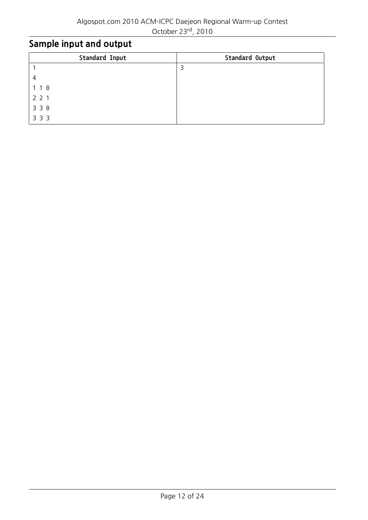October 23rd, 2010

| Standard Input | Standard Output |
|----------------|-----------------|
|                | 3               |
|                |                 |
| 10             |                 |
| 221            |                 |
| 3 3 0          |                 |
| 3 3 3          |                 |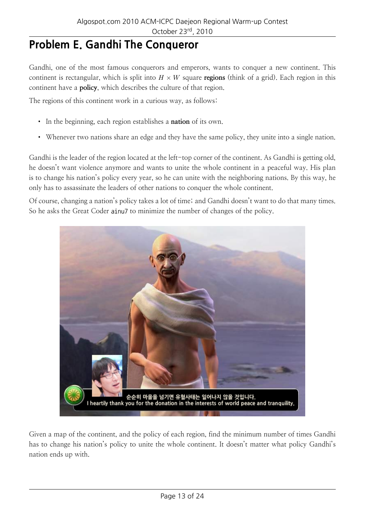# **Problem E. Gandhi The Conqueror**

Gandhi, one of the most famous conquerors and emperors, wants to conquer a new continent. This continent is rectangular, which is split into  $H \times W$  square **regions** (think of a grid). Each region in this continent have a **policy**, which describes the culture of that region.

The regions of this continent work in a curious way, as follows:

- In the beginning, each region establishes a **nation** of its own.
- Whenever two nations share an edge and they have the same policy, they unite into a single nation.

Gandhi is the leader of the region located at the left-top corner of the continent. As Gandhi is getting old, he doesn't want violence anymore and wants to unite the whole continent in a peaceful way. His plan is to change his nation's policy every year, so he can unite with the neighboring nations. By this way, he only has to assassinate the leaders of other nations to conquer the whole continent.

Of course, changing a nation's policy takes a lot of time; and Gandhi doesn't want to do that many times. So he asks the Great Coder ainu7 to minimize the number of changes of the policy.



Given a map of the continent, and the policy of each region, find the minimum number of times Gandhi has to change his nation's policy to unite the whole continent. It doesn't matter what policy Gandhi's nation ends up with.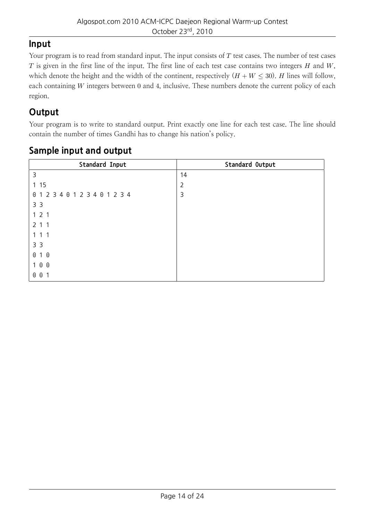#### **Input**

Your program is to read from standard input. The input consists of *T* test cases. The number of test cases *T* is given in the first line of the input. The first line of each test case contains two integers *H* and *W*, which denote the height and the width of the continent, respectively  $(H + W \le 30)$ . *H* lines will follow, each containing *W* integers between 0 and 4, inclusive. These numbers denote the current policy of each region.

### **Output**

Your program is to write to standard output. Print exactly one line for each test case. The line should contain the number of times Gandhi has to change his nation's policy.

| Standard Input  | Standard Output |
|-----------------|-----------------|
| 3               | 14              |
| 115             | $\overline{2}$  |
| 012340123401234 | 3               |
| 3 <sub>3</sub>  |                 |
| 121             |                 |
| 211             |                 |
| 111             |                 |
| 3 <sup>3</sup>  |                 |
| 010             |                 |
| 100             |                 |
| 001             |                 |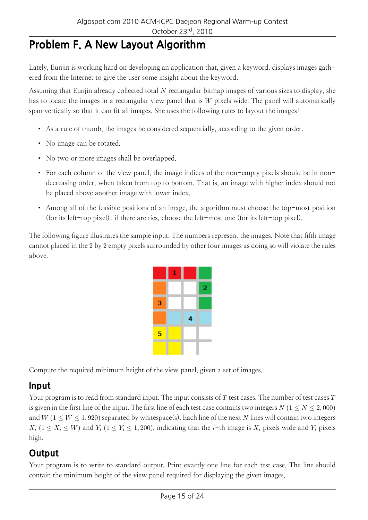# **Problem F. A New Layout Algorithm**

Lately, Eunjin is working hard on developing an application that, given a keyword, displays images gathered from the Internet to give the user some insight about the keyword.

Assuming that Eunjin already collected total *N* rectangular bitmap images of various sizes to display, she has to locate the images in a rectangular view panel that is *W* pixels wide. The panel will automatically span vertically so that it can fit all images. She uses the following rules to layout the images:

- As a rule of thumb, the images be considered sequentially, according to the given order.
- No image can be rotated.
- No two or more images shall be overlapped.
- For each column of the view panel, the image indices of the non-empty pixels should be in nondecreasing order, when taken from top to bottom. That is, an image with higher index should not be placed above another image with lower index.
- Among all of the feasible positions of an image, the algorithm must choose the top-most position (for its left-top pixel); if there are ties, choose the left-most one (for its left-top pixel).

The following figure illustrates the sample input. The numbers represent the images. Note that fifth image cannot placed in the 2 by 2 empty pixels surrounded by other four images as doing so will violate the rules above.

|                        | 1 |   |   |
|------------------------|---|---|---|
|                        |   |   | 2 |
| з<br><b>STATISTICS</b> |   |   |   |
|                        |   | 4 |   |
| 5                      |   |   |   |
|                        |   |   |   |

Compute the required minimum height of the view panel, given a set of images.

#### **Input**

Your program is to read from standard input. The input consists of *T* test cases. The number of test cases *T* is given in the first line of the input. The first line of each test case contains two integers  $N$  ( $1 \le N \le 2,000$ ) and  $W$  ( $1 \leq W \leq 1,920$ ) separated by whitespace(s). Each line of the next *N* lines will contain two integers  $X_i$  ( $1 \le X_i \le W$ ) and  $Y_i$  ( $1 \le Y_i \le 1,200$ ), indicating that the *i*-th image is  $X_i$  pixels wide and  $Y_i$  pixels high.

# **Output**

Your program is to write to standard output. Print exactly one line for each test case. The line should contain the minimum height of the view panel required for displaying the given images.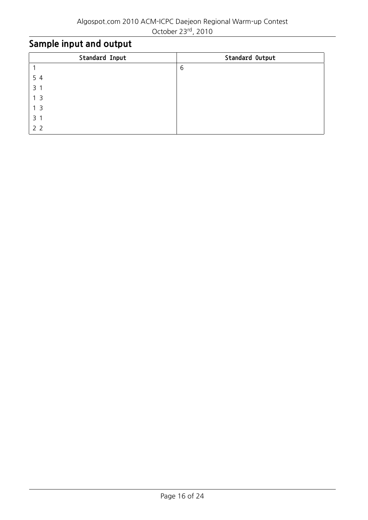| Standard Input | Standard Output |
|----------------|-----------------|
|                | 6               |
| 54             |                 |
| 3 <sub>1</sub> |                 |
| 1 <sub>3</sub> |                 |
| 1 <sub>3</sub> |                 |
| 3 <sub>1</sub> |                 |
| 2 <sub>2</sub> |                 |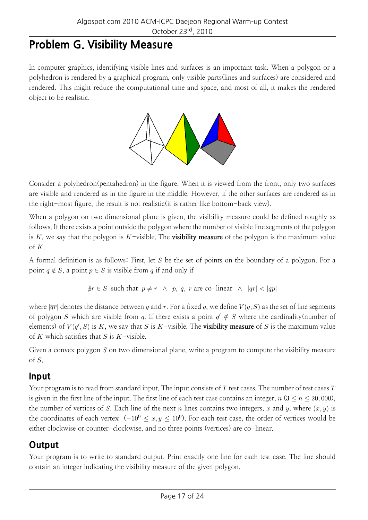# **Problem G. Visibility Measure**

In computer graphics, identifying visible lines and surfaces is an important task. When a polygon or a polyhedron is rendered by a graphical program, only visible parts(lines and surfaces) are considered and rendered. This might reduce the computational time and space, and most of all, it makes the rendered object to be realistic.



Consider a polyhedron(pentahedron) in the figure. When it is viewed from the front, only two surfaces are visible and rendered as in the figure in the middle. However, if the other surfaces are rendered as in the right-most figure, the result is not realistic(it is rather like bottom-back view).

When a polygon on two dimensional plane is given, the visibility measure could be defined roughly as follows. If there exists a point outside the polygon where the number of visible line segments of the polygon is *K*, we say that the polygon is *K*-visible. The **visibility measure** of the polygon is the maximum value of *K*.

A formal definition is as follows: First, let *S* be the set of points on the boundary of a polygon. For a point  $q \notin S$ , a point  $p \in S$  is visible from *q* if and only if

$$
\nexists r \in S \text{ such that } p \neq r \ \land \ p, \ q, \ r \ \text{are co-linear } \land \ |\overline{qr}| < |\overline{qp}|
$$

where  $|\overline{qr}|$  denotes the distance between *q* and *r*. For a fixed *q*, we define  $V(q, S)$  as the set of line segments of polygon *S* which are visible from *q*. If there exists a point  $q' \notin S$  where the cardinality(number of elements) of  $V(q',S)$  is  $K$ , we say that  $S$  is  $K$ -visible. The **visibility measure** of  $S$  is the maximum value of *K* which satisfies that *S* is *K*-visible.

Given a convex polygon *S* on two dimensional plane, write a program to compute the visibility measure of *S*.

#### **Input**

Your program is to read from standard input. The input consists of *T* test cases. The number of test cases *T* is given in the first line of the input. The first line of each test case contains an integer,  $n (3 \le n \le 20,000)$ , the number of vertices of *S*. Each line of the next *n* lines contains two integers, *x* and *y*, where  $(x, y)$  is the coordinates of each vertex (*−*10<sup>9</sup> *<sup>≤</sup> x, y <sup>≤</sup>* <sup>10</sup><sup>9</sup> ). For each test case, the order of vertices would be either clockwise or counter-clockwise, and no three points (vertices) are co-linear.

### **Output**

Your program is to write to standard output. Print exactly one line for each test case. The line should contain an integer indicating the visibility measure of the given polygon.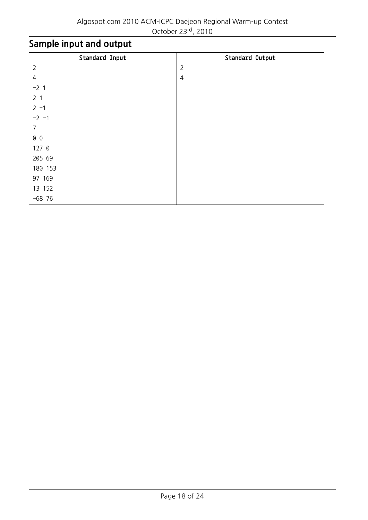| Standard Input | Standard Output |
|----------------|-----------------|
| $\overline{2}$ | $\overline{2}$  |
| $\overline{4}$ | 4               |
| $-21$          |                 |
| 2 <sub>1</sub> |                 |
| $2 - 1$        |                 |
| $-2 - 1$       |                 |
| 7              |                 |
| $0\quad 0$     |                 |
| 127 0          |                 |
| 205 69         |                 |
| 180 153        |                 |
| 97 169         |                 |
| 13 152         |                 |
| $-68$ 76       |                 |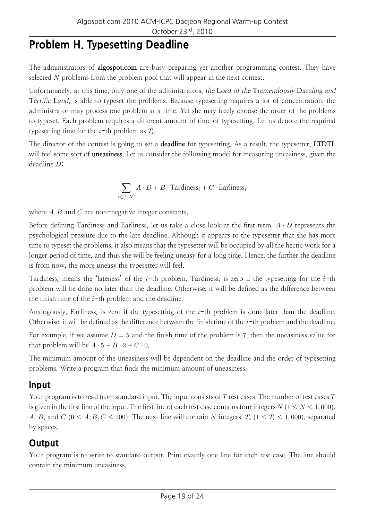# **Problem H. Typesetting Deadline**

The administrators of **algospot.com** are busy preparing yet another programming contest. They have selected *N* problems from the problem pool that will appear in the next contest.

Unfortunately, at this time, only one of the administrators, the **L**ord of the **T**remendously **D**azzling and **T**errific **L**and, is able to typeset the problems. Because typesetting requires a lot of concentration, the administrator may process one problem at a time. Yet she may freely choose the order of the problems to typeset. Each problem requires a different amount of time of typesetting. Let us denote the required typesetting time for the *i*-th problem as *T<sup>i</sup>* .

The director of the contest is going to set a **deadline** for typesetting. As a result, the typesetter, **LTDTL** will feel some sort of **uneasiness**. Let us consider the following model for measuring uneasiness, given the deadline *D*:

$$
\sum_{i \in [1,N]} A \cdot D + B \cdot \text{Tardiness}_i + C \cdot \text{Earliness}_i
$$

where *A, B* and *C* are non-negative integer constants.

Before defining Tardiness and Earliness, let us take a close look at the first term. *A · D* represents the psychological pressure due to the late deadline. Although it appears to the typesetter that she has more time to typeset the problems, it also means that the typesetter will be occupied by all the hectic work for a longer period of time, and thus she will be feeling uneasy for a long time. Hence, the further the deadline is from now, the more uneasy the typesetter will feel.

Tardiness*<sup>i</sup>* means the 'lateness' of the *i*-th problem. Tardiness*<sup>i</sup>* is zero if the typesetting for the *i*-th problem will be done no later than the deadline. Otherwise, it will be defined as the difference between the finish time of the *i*-th problem and the deadline.

Analogously, Earliness*<sup>i</sup>* is zero if the typesetting of the *i*-th problem is done later than the deadline. Otherwise, it will be defined as the difference between the finish time of the *i*-th problem and the deadline.

For example, if we assume  $D = 5$  and the finish time of the problem is 7, then the uneasiness value for that problem will be  $A \cdot 5 + B \cdot 2 + C \cdot 0$ .

The minimum amount of the uneasiness will be dependent on the deadline and the order of typesetting problems. Write a program that finds the minimum amount of uneasiness.

#### **Input**

Your program is to read from standard input. The input consists of *T* test cases. The number of test cases *T* is given in the first line of the input. The first line of each test case contains four integers  $N$  ( $1 \le N \le 1,000$ ), *A*, *B*, and *C* (0 < *A*, *B*, *C* < 100). The next line will contain *N* integers,  $T_i$  (1 <  $T_i$  < 1,000), separated by spaces.

### **Output**

Your program is to write to standard output. Print exactly one line for each test case. The line should contain the minimum uneasiness.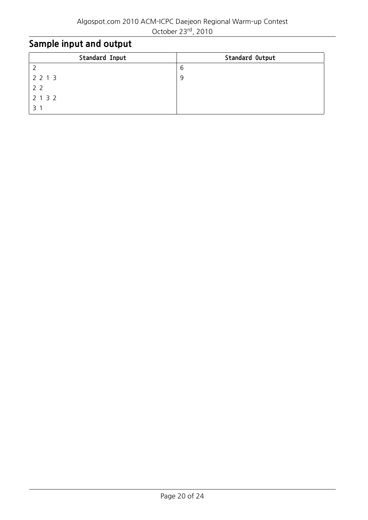| Standard Input | Standard Output |
|----------------|-----------------|
|                | -6              |
| 2 2 1 3        | 9               |
| 2 <sub>2</sub> |                 |
| 2 1 3 2        |                 |
|                |                 |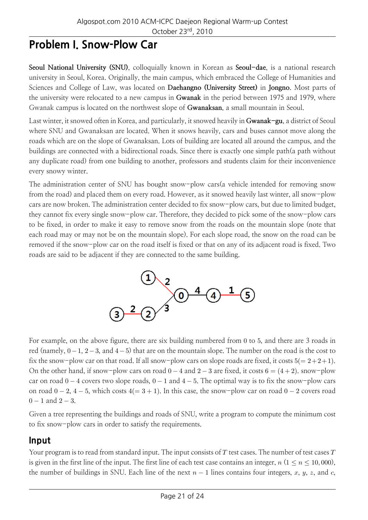# **Problem I. Snow-Plow Car**

**Seoul National University (SNU)**, colloquially known in Korean as **Seoul-dae**, is a national research university in Seoul, Korea. Originally, the main campus, which embraced the College of Humanities and Sciences and College of Law, was located on **Daehangno (University Street)** in **Jongno**. Most parts of the university were relocated to a new campus in **Gwanak** in the period between 1975 and 1979, where Gwanak campus is located on the northwest slope of **Gwanaksan**, a small mountain in Seoul.

Last winter, it snowed often in Korea, and particularly, it snowed heavily in **Gwanak-gu**, a district of Seoul where SNU and Gwanaksan are located. When it snows heavily, cars and buses cannot move along the roads which are on the slope of Gwanaksan. Lots of building are located all around the campus, and the buildings are connected with a bidirectional roads. Since there is exactly one simple path(a path without any duplicate road) from one building to another, professors and students claim for their inconvenience every snowy winter.

The administration center of SNU has bought snow-plow cars(a vehicle intended for removing snow from the road) and placed them on every road. However, as it snowed heavily last winter, all snow-plow cars are now broken. The administration center decided to fix snow-plow cars, but due to limited budget, they cannot fix every single snow-plow car. Therefore, they decided to pick some of the snow-plow cars to be fixed, in order to make it easy to remove snow from the roads on the mountain slope (note that each road may or may not be on the mountain slope). For each slope road, the snow on the road can be removed if the snow-plow car on the road itself is fixed or that on any of its adjacent road is fixed. Two roads are said to be adjacent if they are connected to the same building.



For example, on the above figure, there are six building numbered from 0 to 5, and there are 3 roads in red (namely, 0*−*1, 2*−*3, and 4*−*5) that are on the mountain slope. The number on the road is the cost to fix the snow-plow car on that road. If all snow-plow cars on slope roads are fixed, it costs  $5(= 2+2+1)$ . On the other hand, if snow-plow cars on road 0 *−* 4 and 2 *−* 3 are fixed, it costs 6 = (4 + 2). snow-plow car on road 0 *−* 4 covers two slope roads, 0 *−* 1 and 4 *−* 5. The optimal way is to fix the snow-plow cars on road 0 *−* 2, 4 *−* 5, which costs 4(= 3 + 1). In this case, the snow-plow car on road 0 *−* 2 covers road 0 *−* 1 and 2 *−* 3.

Given a tree representing the buildings and roads of SNU, write a program to compute the minimum cost to fix snow-plow cars in order to satisfy the requirements.

#### **Input**

Your program is to read from standard input. The input consists of *T* test cases. The number of test cases *T* is given in the first line of the input. The first line of each test case contains an integer,  $n (1 \le n \le 10,000)$ , the number of buildings in SNU. Each line of the next *n −* 1 lines contains four integers, *x*, *y*, *z*, and *c*,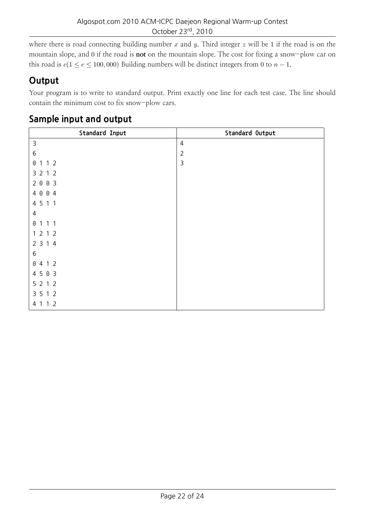where there is road connecting building number *x* and *y*. Third integer *z* will be 1 if the road is on the mountain slope, and 0 if the road is **not** on the mountain slope. The cost for fixing a snow-plow car on this road is  $c(1 \leq c \leq 100,000)$  Building numbers will be distinct integers from 0 to  $n-1$ .

### **Output**

Your program is to write to standard output. Print exactly one line for each test case. The line should contain the minimum cost to fix snow-plow cars.

| Standard Input | Standard Output |
|----------------|-----------------|
| $\mathsf 3$    | $\overline{4}$  |
| 6              | $\overline{2}$  |
| 0 1 1 2        | $\mathsf{3}$    |
| 3 2 1 2        |                 |
| 2003           |                 |
| 4 0 0 4        |                 |
| 4 5 1 1        |                 |
| 4              |                 |
| 0 1 1 1        |                 |
| 1 2 1 2        |                 |
| 2 3 1 4        |                 |
| 6              |                 |
| 0412           |                 |
| 4503           |                 |
| 5212           |                 |
| 3 5 1 2        |                 |
| 4 1 1 2        |                 |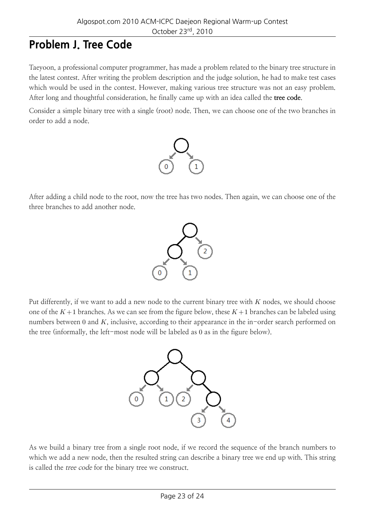# **Problem J. Tree Code**

Taeyoon, a professional computer programmer, has made a problem related to the binary tree structure in the latest contest. After writing the problem description and the judge solution, he had to make test cases which would be used in the contest. However, making various tree structure was not an easy problem. After long and thoughtful consideration, he finally came up with an idea called the **tree code**.

Consider a simple binary tree with a single (root) node. Then, we can choose one of the two branches in order to add a node.



After adding a child node to the root, now the tree has two nodes. Then again, we can choose one of the three branches to add another node.



Put differently, if we want to add a new node to the current binary tree with *K* nodes, we should choose one of the  $K+1$  branches. As we can see from the figure below, these  $K+1$  branches can be labeled using numbers between 0 and *K*, inclusive, according to their appearance in the in-order search performed on the tree (informally, the left-most node will be labeled as 0 as in the figure below).



As we build a binary tree from a single root node, if we record the sequence of the branch numbers to which we add a new node, then the resulted string can describe a binary tree we end up with. This string is called the tree code for the binary tree we construct.